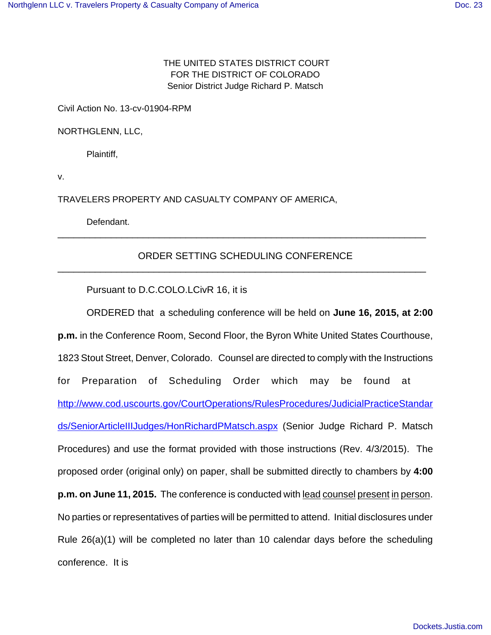## THE UNITED STATES DISTRICT COURT FOR THE DISTRICT OF COLORADO Senior District Judge Richard P. Matsch

Civil Action No. 13-cv-01904-RPM

NORTHGLENN, LLC,

Plaintiff,

v.

TRAVELERS PROPERTY AND CASUALTY COMPANY OF AMERICA,

Defendant.

## ORDER SETTING SCHEDULING CONFERENCE \_\_\_\_\_\_\_\_\_\_\_\_\_\_\_\_\_\_\_\_\_\_\_\_\_\_\_\_\_\_\_\_\_\_\_\_\_\_\_\_\_\_\_\_\_\_\_\_\_\_\_\_\_\_\_\_\_\_\_\_\_\_\_\_\_\_\_\_\_

\_\_\_\_\_\_\_\_\_\_\_\_\_\_\_\_\_\_\_\_\_\_\_\_\_\_\_\_\_\_\_\_\_\_\_\_\_\_\_\_\_\_\_\_\_\_\_\_\_\_\_\_\_\_\_\_\_\_\_\_\_\_\_\_\_\_\_\_\_

Pursuant to D.C.COLO.LCivR 16, it is

ORDERED that a scheduling conference will be held on **June 16, 2015, at 2:00 p.m.** in the Conference Room, Second Floor, the Byron White United States Courthouse, 1823 Stout Street, Denver, Colorado. Counsel are directed to comply with the Instructions for Preparation of Scheduling Order which may be found at http://www.cod.uscourts.gov/CourtOperations/RulesProcedures/JudicialPracticeStandar ds/SeniorArticleIIIJudges/HonRichardPMatsch.aspx (Senior Judge Richard P. Matsch Procedures) and use the format provided with those instructions (Rev. 4/3/2015). The proposed order (original only) on paper, shall be submitted directly to chambers by **4:00 p.m. on June 11, 2015.** The conference is conducted with lead counsel present in person. No parties or representatives of parties will be permitted to attend. Initial disclosures under Rule 26(a)(1) will be completed no later than 10 calendar days before the scheduling conference. It is